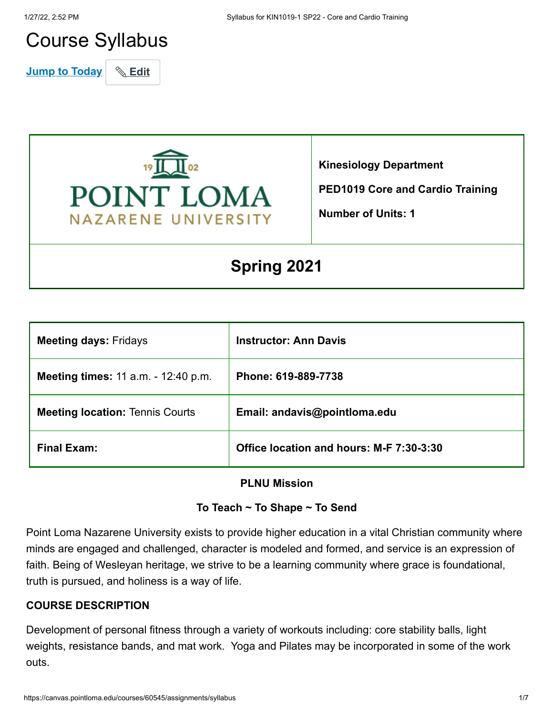# Course Syllabus

**Jump to Today** & Edit



**Kinesiology Department**

**PED1019 Core and Cardio Training**

**Number of Units: 1**

## **Spring 2021**

| <b>Meeting days: Fridays</b>               | <b>Instructor: Ann Davis</b>             |
|--------------------------------------------|------------------------------------------|
| <b>Meeting times: 11 a.m. - 12:40 p.m.</b> | Phone: 619-889-7738                      |
| <b>Meeting location: Tennis Courts</b>     | Email: andavis@pointloma.edu             |
| <b>Final Exam:</b>                         | Office location and hours: M-F 7:30-3:30 |

## **PLNU Mission**

#### **To Teach ~ To Shape ~ To Send**

Point Loma Nazarene University exists to provide higher education in a vital Christian community where minds are engaged and challenged, character is modeled and formed, and service is an expression of faith. Being of Wesleyan heritage, we strive to be a learning community where grace is foundational, truth is pursued, and holiness is a way of life.

#### **COURSE DESCRIPTION**

Development of personal fitness through a variety of workouts including: core stability balls, light weights, resistance bands, and mat work. Yoga and Pilates may be incorporated in some of the work outs.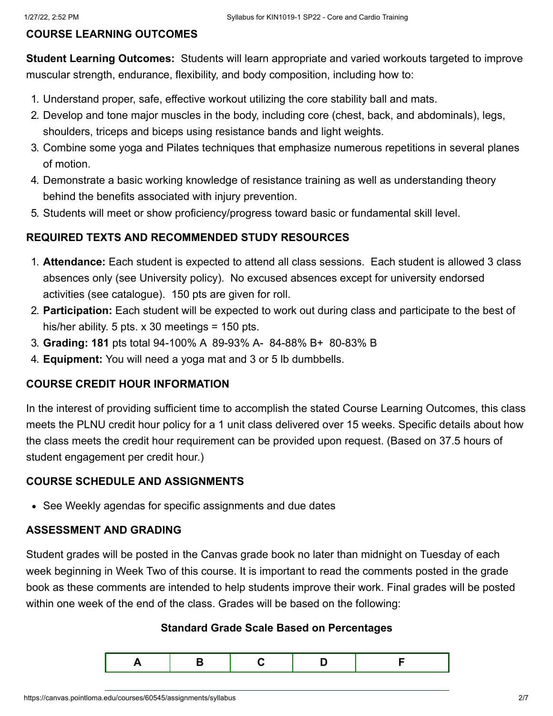#### **COURSE LEARNING OUTCOMES**

**Student Learning Outcomes:** Students will learn appropriate and varied workouts targeted to improve muscular strength, endurance, flexibility, and body composition, including how to:

- 1. Understand proper, safe, effective workout utilizing the core stability ball and mats.
- 2. Develop and tone major muscles in the body, including core (chest, back, and abdominals), legs, shoulders, triceps and biceps using resistance bands and light weights.
- 3. Combine some yoga and Pilates techniques that emphasize numerous repetitions in several planes of motion.
- 4. Demonstrate a basic working knowledge of resistance training as well as understanding theory behind the benefits associated with injury prevention.
- 5. Students will meet or show proficiency/progress toward basic or fundamental skill level.

## **REQUIRED TEXTS AND RECOMMENDED STUDY RESOURCES**

- 1. **Attendance:** Each student is expected to attend all class sessions. Each student is allowed 3 class absences only (see University policy). No excused absences except for university endorsed activities (see catalogue). 150 pts are given for roll.
- 2. **Participation:** Each student will be expected to work out during class and participate to the best of his/her ability. 5 pts. x 30 meetings = 150 pts.
- 3. **Grading: 181** pts total 94-100% A 89-93% A- 84-88% B+ 80-83% B
- 4. **Equipment:** You will need a yoga mat and 3 or 5 lb dumbbells.

## **COURSE CREDIT HOUR INFORMATION**

In the interest of providing sufficient time to accomplish the stated Course Learning Outcomes, this class meets the PLNU credit hour policy for a 1 unit class delivered over 15 weeks. Specific details about how the class meets the credit hour requirement can be provided upon request. (Based on 37.5 hours of student engagement per credit hour.)

#### **COURSE SCHEDULE AND ASSIGNMENTS**

• See Weekly agendas for specific assignments and due dates

## **ASSESSMENT AND GRADING**

Student grades will be posted in the Canvas grade book no later than midnight on Tuesday of each week beginning in Week Two of this course. It is important to read the comments posted in the grade book as these comments are intended to help students improve their work. Final grades will be posted within one week of the end of the class. Grades will be based on the following:

#### **Standard Grade Scale Based on Percentages**

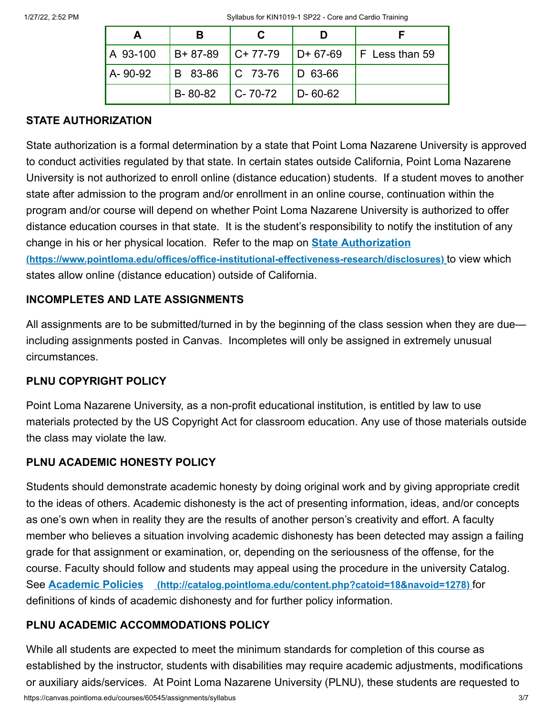|          | В                 |                      |                 |                           |
|----------|-------------------|----------------------|-----------------|---------------------------|
| A 93-100 | B+ 87-89          | $ C+77-79 $ D+ 67-69 |                 | $\mathsf{F}$ Less than 59 |
| A-90-92  | B 83-86   C 73-76 |                      | $\vert$ D 63-66 |                           |
|          | B-80-82           | $ C-70-72 $          | $D - 60 - 62$   |                           |

#### **STATE AUTHORIZATION**

State authorization is a formal determination by a state that Point Loma Nazarene University is approved to conduct activities regulated by that state. In certain states outside California, Point Loma Nazarene University is not authorized to enroll online (distance education) students. If a student moves to another state after admission to the program and/or enrollment in an online course, continuation within the program and/or course will depend on whether Point Loma Nazarene University is authorized to offer distance education courses in that state. It is the student's responsibility to notify the institution of any change in his or her physical location. Refer to the map on **State Authorization [\(https://www.pointloma.edu/offices/office-institutional-effectiveness-research/disclosures\)](https://www.pointloma.edu/offices/office-institutional-effectiveness-research/disclosures)** to view which states allow online (distance education) outside of California.

## **INCOMPLETES AND LATE ASSIGNMENTS**

All assignments are to be submitted/turned in by the beginning of the class session when they are due including assignments posted in Canvas. Incompletes will only be assigned in extremely unusual circumstances.

## **PLNU COPYRIGHT POLICY**

Point Loma Nazarene University, as a non-profit educational institution, is entitled by law to use materials protected by the US Copyright Act for classroom education. Any use of those materials outside the class may violate the law.

## **PLNU ACADEMIC HONESTY POLICY**

Students should demonstrate academic honesty by doing original work and by giving appropriate credit to the ideas of others. Academic dishonesty is the act of presenting information, ideas, and/or concepts as one's own when in reality they are the results of another person's creativity and effort. A faculty member who believes a situation involving academic dishonesty has been detected may assign a failing grade for that assignment or examination, or, depending on the seriousness of the offense, for the course. Faculty should follow and students may appeal using the procedure in the university Catalog. See **Academic Policies [\(http://catalog.pointloma.edu/content.php?catoid=18&navoid=1278\)](http://catalog.pointloma.edu/content.php?catoid=18&navoid=1278)** for definitions of kinds of academic dishonesty and for further policy information.

## **PLNU ACADEMIC ACCOMMODATIONS POLICY**

While all students are expected to meet the minimum standards for completion of this course as established by the instructor, students with disabilities may require academic adjustments, modifications or auxiliary aids/services. At Point Loma Nazarene University (PLNU), these students are requested to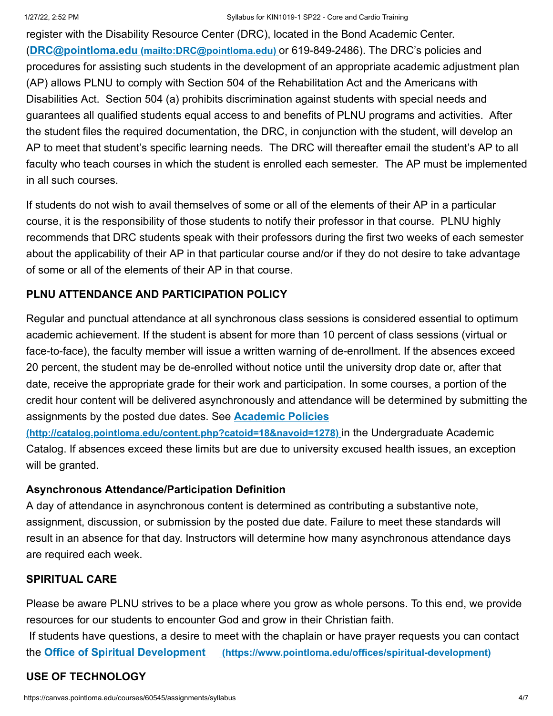register with the Disability Resource Center (DRC), located in the Bond Academic Center. (**DRC@pointloma.edu [\(mailto:DRC@pointloma.edu\)](mailto:DRC@pointloma.edu)** or 619-849-2486). The DRC's policies and procedures for assisting such students in the development of an appropriate academic adjustment plan (AP) allows PLNU to comply with Section 504 of the Rehabilitation Act and the Americans with Disabilities Act. Section 504 (a) prohibits discrimination against students with special needs and guarantees all qualified students equal access to and benefits of PLNU programs and activities. After the student files the required documentation, the DRC, in conjunction with the student, will develop an AP to meet that student's specific learning needs. The DRC will thereafter email the student's AP to all faculty who teach courses in which the student is enrolled each semester. The AP must be implemented in all such courses.

If students do not wish to avail themselves of some or all of the elements of their AP in a particular course, it is the responsibility of those students to notify their professor in that course. PLNU highly recommends that DRC students speak with their professors during the first two weeks of each semester about the applicability of their AP in that particular course and/or if they do not desire to take advantage of some or all of the elements of their AP in that course.

## **PLNU ATTENDANCE AND PARTICIPATION POLICY**

Regular and punctual attendance at all synchronous class sessions is considered essential to optimum academic achievement. If the student is absent for more than 10 percent of class sessions (virtual or face-to-face), the faculty member will issue a written warning of de-enrollment. If the absences exceed 20 percent, the student may be de-enrolled without notice until the university drop date or, after that date, receive the appropriate grade for their work and participation. In some courses, a portion of the credit hour content will be delivered asynchronously and attendance will be determined by submitting the assignments by the posted due dates. See **Academic Policies**

**[\(http://catalog.pointloma.edu/content.php?catoid=18&navoid=1278\)](http://catalog.pointloma.edu/content.php?catoid=18&navoid=1278)** in the Undergraduate Academic Catalog. If absences exceed these limits but are due to university excused health issues, an exception will be granted.

#### **Asynchronous Attendance/Participation Definition**

A day of attendance in asynchronous content is determined as contributing a substantive note, assignment, discussion, or submission by the posted due date. Failure to meet these standards will result in an absence for that day. Instructors will determine how many asynchronous attendance days are required each week.

## **SPIRITUAL CARE**

Please be aware PLNU strives to be a place where you grow as whole persons. To this end, we provide resources for our students to encounter God and grow in their Christian faith.

If students have questions, a desire to meet with the chaplain or have prayer requests you can contact the **Office of Spiritual Development [\(https://www.pointloma.edu/offices/spiritual-development\)](https://www.pointloma.edu/offices/spiritual-development)**

## **USE OF TECHNOLOGY**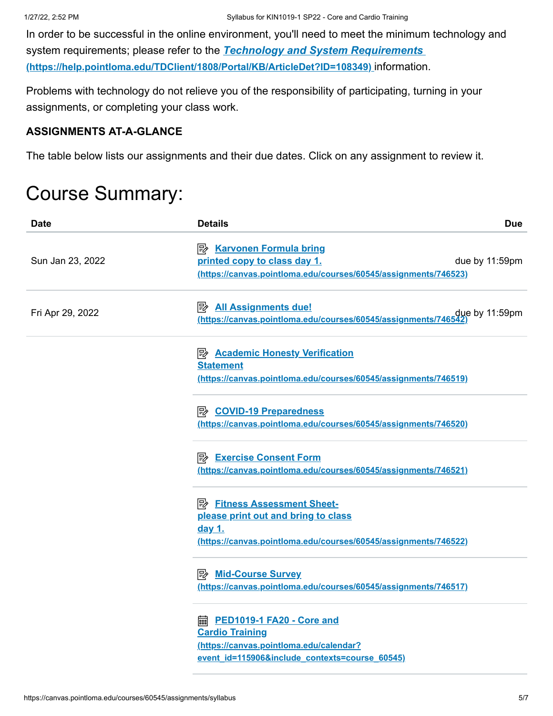In order to be successful in the online environment, you'll need to meet the minimum technology and system requirements; please refer to the *Technology and System Requirements*  **[\(https://help.pointloma.edu/TDClient/1808/Portal/KB/ArticleDet?ID=108349\)](https://help.pointloma.edu/TDClient/1808/Portal/KB/ArticleDet?ID=108349)** information.

Problems with technology do not relieve you of the responsibility of participating, turning in your assignments, or completing your class work.

#### **ASSIGNMENTS AT-A-GLANCE**

The table below lists our assignments and their due dates. Click on any assignment to review it.

## Course Summary:

| Date             | <b>Details</b>                                                                                                                                                | <b>Due</b>     |
|------------------|---------------------------------------------------------------------------------------------------------------------------------------------------------------|----------------|
| Sun Jan 23, 2022 | <b>B</b> Karvonen Formula bring<br>printed copy to class day 1.<br>(https://canvas.pointloma.edu/courses/60545/assignments/746523)                            | due by 11:59pm |
| Fri Apr 29, 2022 | <b>All Assignments due!</b><br>due by 11:59pm .<br><u>(https://canvas.pointIoma.edu/courses/60545/assignments/746542)</u>                                     |                |
|                  | <b>E</b> Academic Honesty Verification<br><b>Statement</b><br>(https://canvas.pointloma.edu/courses/60545/assignments/746519)                                 |                |
|                  | <b>B</b> COVID-19 Preparedness<br>(https://canvas.pointloma.edu/courses/60545/assignments/746520)                                                             |                |
|                  | <b>B</b> Exercise Consent Form<br>(https://canvas.pointloma.edu/courses/60545/assignments/746521)                                                             |                |
|                  | <b>B</b> Fitness Assessment Sheet-<br>please print out and bring to class<br><u>day 1.</u><br>(https://canvas.pointloma.edu/courses/60545/assignments/746522) |                |
|                  | <b>A</b> Mid-Course Survey<br>(https://canvas.pointloma.edu/courses/60545/assignments/746517)                                                                 |                |
|                  | <b>a.</b> PED1019-1 FA20 - Core and<br><b>Cardio Training</b><br>(https://canvas.pointloma.edu/calendar?<br>event id=115906&include contexts=course 60545)    |                |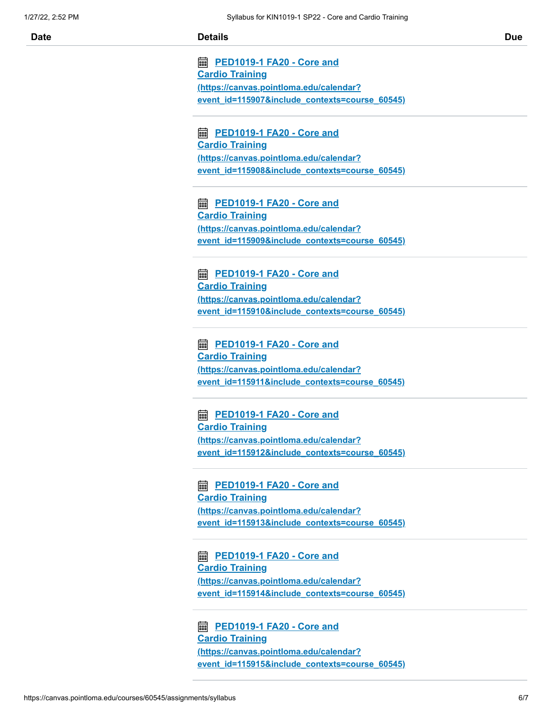**<u>■ PED1019-1 FA20 - Core and</u> Cardio Training (https://canvas.pointloma.edu/calendar? [event\\_id=115907&include\\_contexts=course\\_60545\)](https://canvas.pointloma.edu/calendar?event_id=115907&include_contexts=course_60545)**

**<u>■ PED1019-1 FA20 - Core and</u> Cardio Training (https://canvas.pointloma.edu/calendar? [event\\_id=115908&include\\_contexts=course\\_60545\)](https://canvas.pointloma.edu/calendar?event_id=115908&include_contexts=course_60545)**

**<u>■ PED1019-1 FA20 - Core and</u> Cardio Training (https://canvas.pointloma.edu/calendar? [event\\_id=115909&include\\_contexts=course\\_60545\)](https://canvas.pointloma.edu/calendar?event_id=115909&include_contexts=course_60545)**

**<u>■ PED1019-1 FA20 - Core and</u> Cardio Training (https://canvas.pointloma.edu/calendar? [event\\_id=115910&include\\_contexts=course\\_60545\)](https://canvas.pointloma.edu/calendar?event_id=115910&include_contexts=course_60545)**

**<u>■ PED1019-1 FA20 - Core and</u> Cardio Training (https://canvas.pointloma.edu/calendar? [event\\_id=115911&include\\_contexts=course\\_60545\)](https://canvas.pointloma.edu/calendar?event_id=115911&include_contexts=course_60545)**

**<u>■ PED1019-1 FA20 - Core and</u> Cardio Training (https://canvas.pointloma.edu/calendar? [event\\_id=115912&include\\_contexts=course\\_60545\)](https://canvas.pointloma.edu/calendar?event_id=115912&include_contexts=course_60545)**

**<u>■ PED1019-1 FA20 - Core and</u> Cardio Training (https://canvas.pointloma.edu/calendar? [event\\_id=115913&include\\_contexts=course\\_60545\)](https://canvas.pointloma.edu/calendar?event_id=115913&include_contexts=course_60545)**

**<u>■ PED1019-1 FA20 - Core and</u> Cardio Training (https://canvas.pointloma.edu/calendar? [event\\_id=115914&include\\_contexts=course\\_60545\)](https://canvas.pointloma.edu/calendar?event_id=115914&include_contexts=course_60545)**

**<u>■ PED1019-1 FA20 - Core and</u> Cardio Training (https://canvas.pointloma.edu/calendar? [event\\_id=115915&include\\_contexts=course\\_60545\)](https://canvas.pointloma.edu/calendar?event_id=115915&include_contexts=course_60545)**